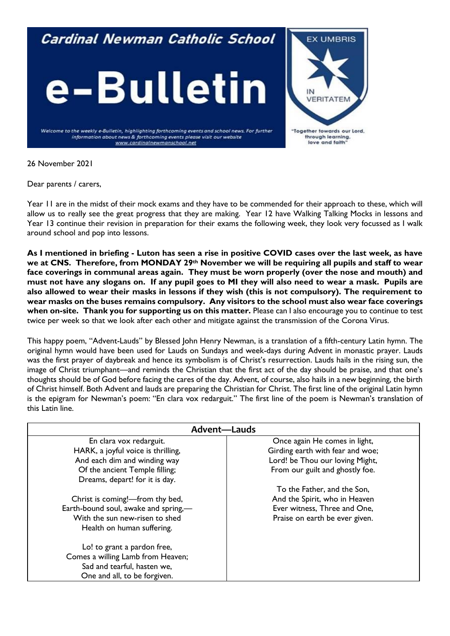# Cardinal Newman Catholic School





Welcome to the weekly e-Bulletin, highlighting forthcoming events and school news. For further information about news & forthcoming events please visit our website www.cardinalnewmanschool.net

26 November 2021

Dear parents / carers,

Year 11 are in the midst of their mock exams and they have to be commended for their approach to these, which will allow us to really see the great progress that they are making. Year 12 have Walking Talking Mocks in lessons and Year 13 continue their revision in preparation for their exams the following week, they look very focussed as I walk around school and pop into lessons.

**As I mentioned in briefing - Luton has seen a rise in positive COVID cases over the last week, as have we at CNS. Therefore, from MONDAY 29th November we will be requiring all pupils and staff to wear face coverings in communal areas again. They must be worn properly (over the nose and mouth) and must not have any slogans on. If any pupil goes to MI they will also need to wear a mask. Pupils are also allowed to wear their masks in lessons if they wish (this is not compulsory). The requirement to wear masks on the buses remains compulsory. Any visitors to the school must also wear face coverings when on-site. Thank you for supporting us on this matter.** Please can I also encourage you to continue to test twice per week so that we look after each other and mitigate against the transmission of the Corona Virus.

This happy poem, "Advent-Lauds" by Blessed John Henry Newman, is a translation of a fifth-century Latin hymn. The original hymn would have been used for Lauds on Sundays and week-days during Advent in monastic prayer. Lauds was the first prayer of daybreak and hence its symbolism is of Christ's resurrection. Lauds hails in the rising sun, the image of Christ triumphant—and reminds the Christian that the first act of the day should be praise, and that one's thoughts should be of God before facing the cares of the day. Advent, of course, also hails in a new beginning, the birth of Christ himself. Both Advent and lauds are preparing the Christian for Christ. The first line of the original Latin hymn is the epigram for Newman's poem: "En clara vox redarguit." The first line of the poem is Newman's translation of this Latin line.

| <b>Advent-Lauds</b>                  |                                  |
|--------------------------------------|----------------------------------|
| En clara vox redarguit.              | Once again He comes in light,    |
| HARK, a joyful voice is thrilling,   | Girding earth with fear and woe; |
| And each dim and winding way         | Lord! be Thou our loving Might,  |
| Of the ancient Temple filling;       | From our guilt and ghostly foe.  |
| Dreams, depart! for it is day.       |                                  |
|                                      | To the Father, and the Son,      |
| Christ is coming!-from thy bed,      | And the Spirit, who in Heaven    |
| Earth-bound soul, awake and spring,- | Ever witness, Three and One,     |
| With the sun new-risen to shed       | Praise on earth be ever given.   |
| Health on human suffering.           |                                  |
| Lo! to grant a pardon free,          |                                  |
| Comes a willing Lamb from Heaven;    |                                  |
| Sad and tearful, hasten we,          |                                  |
| One and all, to be forgiven.         |                                  |